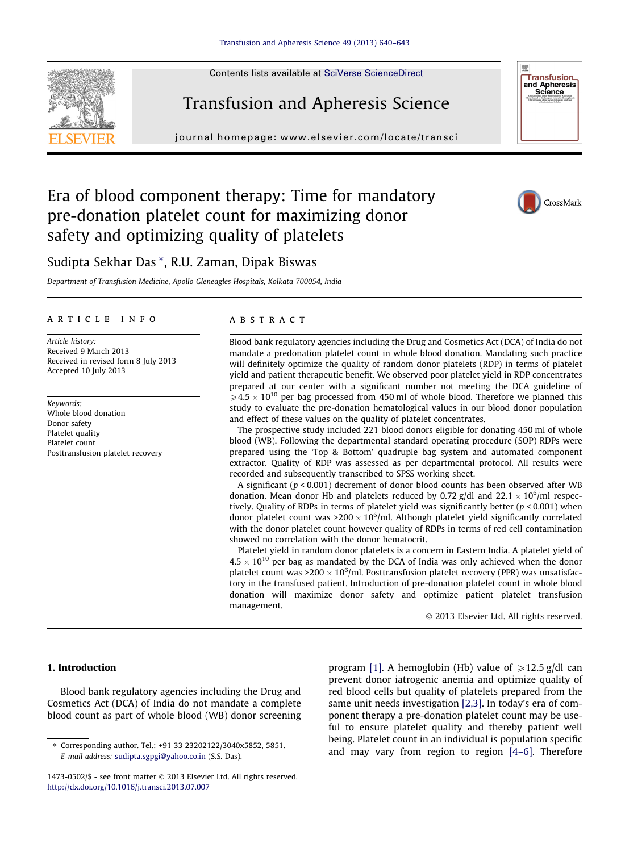Contents lists available at [SciVerse ScienceDirect](http://www.sciencedirect.com/science/journal/14730502)

# Transfusion and Apheresis Science

journal homepage: [www.elsevier.com/locate/transci](http://www.elsevier.com/locate/transci)

## Era of blood component therapy: Time for mandatory pre-donation platelet count for maximizing donor safety and optimizing quality of platelets



**Transfusion** and Apheresis<br>Science

### Sudipta Sekhar Das \*, R.U. Zaman, Dipak Biswas

Department of Transfusion Medicine, Apollo Gleneagles Hospitals, Kolkata 700054, India

#### article info

Article history: Received 9 March 2013 Received in revised form 8 July 2013 Accepted 10 July 2013

Keywords: Whole blood donation Donor safety Platelet quality Platelet count Posttransfusion platelet recovery

### **ABSTRACT**

Blood bank regulatory agencies including the Drug and Cosmetics Act (DCA) of India do not mandate a predonation platelet count in whole blood donation. Mandating such practice will definitely optimize the quality of random donor platelets (RDP) in terms of platelet yield and patient therapeutic benefit. We observed poor platelet yield in RDP concentrates prepared at our center with a significant number not meeting the DCA guideline of  $\geqslant$ 4.5  $\times$  10<sup>10</sup> per bag processed from 450 ml of whole blood. Therefore we planned this study to evaluate the pre-donation hematological values in our blood donor population and effect of these values on the quality of platelet concentrates.

The prospective study included 221 blood donors eligible for donating 450 ml of whole blood (WB). Following the departmental standard operating procedure (SOP) RDPs were prepared using the 'Top & Bottom' quadruple bag system and automated component extractor. Quality of RDP was assessed as per departmental protocol. All results were recorded and subsequently transcribed to SPSS working sheet.

A significant ( $p < 0.001$ ) decrement of donor blood counts has been observed after WB donation. Mean donor Hb and platelets reduced by 0.72 g/dl and  $22.1 \times 10^6$ /ml respectively. Quality of RDPs in terms of platelet yield was significantly better ( $p < 0.001$ ) when donor platelet count was >200  $\times$  10<sup>6</sup>/ml. Although platelet yield significantly correlated with the donor platelet count however quality of RDPs in terms of red cell contamination showed no correlation with the donor hematocrit.

Platelet yield in random donor platelets is a concern in Eastern India. A platelet yield of  $4.5 \times 10^{10}$  per bag as mandated by the DCA of India was only achieved when the donor platelet count was >200  $\times$  10<sup>6</sup>/ml. Posttransfusion platelet recovery (PPR) was unsatisfactory in the transfused patient. Introduction of pre-donation platelet count in whole blood donation will maximize donor safety and optimize patient platelet transfusion management.

- 2013 Elsevier Ltd. All rights reserved.

#### 1. Introduction

Blood bank regulatory agencies including the Drug and Cosmetics Act (DCA) of India do not mandate a complete blood count as part of whole blood (WB) donor screening

program [\[1\].](#page-3-0) A hemoglobin (Hb) value of  $\geq 12.5$  g/dl can prevent donor iatrogenic anemia and optimize quality of red blood cells but quality of platelets prepared from the same unit needs investigation [\[2,3\].](#page-3-0) In today's era of component therapy a pre-donation platelet count may be useful to ensure platelet quality and thereby patient well being. Platelet count in an individual is population specific and may vary from region to region [\[4–6\].](#page-3-0) Therefore



<sup>⇑</sup> Corresponding author. Tel.: +91 33 23202122/3040x5852, 5851. E-mail address: [sudipta.sgpgi@yahoo.co.in](mailto:sudipta.sgpgi@yahoo.co.in) (S.S. Das).

<sup>1473-0502/\$ -</sup> see front matter © 2013 Elsevier Ltd. All rights reserved. <http://dx.doi.org/10.1016/j.transci.2013.07.007>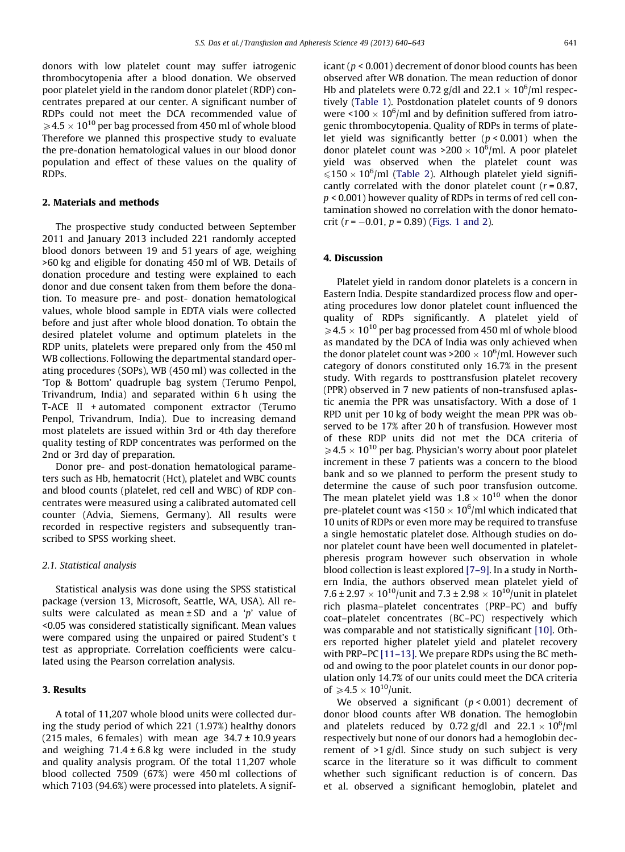donors with low platelet count may suffer iatrogenic thrombocytopenia after a blood donation. We observed poor platelet yield in the random donor platelet (RDP) concentrates prepared at our center. A significant number of RDPs could not meet the DCA recommended value of  $\geqslant$  4.5  $\times$  10<sup>10</sup> per bag processed from 450 ml of whole blood Therefore we planned this prospective study to evaluate the pre-donation hematological values in our blood donor population and effect of these values on the quality of RDPs.

#### 2. Materials and methods

The prospective study conducted between September 2011 and January 2013 included 221 randomly accepted blood donors between 19 and 51 years of age, weighing >60 kg and eligible for donating 450 ml of WB. Details of donation procedure and testing were explained to each donor and due consent taken from them before the donation. To measure pre- and post- donation hematological values, whole blood sample in EDTA vials were collected before and just after whole blood donation. To obtain the desired platelet volume and optimum platelets in the RDP units, platelets were prepared only from the 450 ml WB collections. Following the departmental standard operating procedures (SOPs), WB (450 ml) was collected in the 'Top & Bottom' quadruple bag system (Terumo Penpol, Trivandrum, India) and separated within 6 h using the T-ACE II + automated component extractor (Terumo Penpol, Trivandrum, India). Due to increasing demand most platelets are issued within 3rd or 4th day therefore quality testing of RDP concentrates was performed on the 2nd or 3rd day of preparation.

Donor pre- and post-donation hematological parameters such as Hb, hematocrit (Hct), platelet and WBC counts and blood counts (platelet, red cell and WBC) of RDP concentrates were measured using a calibrated automated cell counter (Advia, Siemens, Germany). All results were recorded in respective registers and subsequently transcribed to SPSS working sheet.

#### 2.1. Statistical analysis

Statistical analysis was done using the SPSS statistical package (version 13, Microsoft, Seattle, WA, USA). All results were calculated as mean  $\pm$  SD and a 'p' value of <0.05 was considered statistically significant. Mean values were compared using the unpaired or paired Student's t test as appropriate. Correlation coefficients were calculated using the Pearson correlation analysis.

#### 3. Results

A total of 11,207 whole blood units were collected during the study period of which 221 (1.97%) healthy donors (215 males, 6 females) with mean age  $34.7 \pm 10.9$  years and weighing  $71.4 \pm 6.8$  kg were included in the study and quality analysis program. Of the total 11,207 whole blood collected 7509 (67%) were 450 ml collections of which 7103 (94.6%) were processed into platelets. A significant ( $p < 0.001$ ) decrement of donor blood counts has been observed after WB donation. The mean reduction of donor Hb and platelets were 0.72  $g/dl$  and 22.1  $\times$  10<sup>6</sup>/ml respectively [\(Table 1\)](#page-2-0). Postdonation platelet counts of 9 donors were <100  $\times$  10<sup>6</sup>/ml and by definition suffered from iatrogenic thrombocytopenia. Quality of RDPs in terms of platelet yield was significantly better  $(p < 0.001)$  when the donor platelet count was >200  $\times$  10<sup>6</sup>/ml. A poor platelet yield was observed when the platelet count was  $\leqslant$ 150  $\times$  10<sup>6</sup>/ml ([Table 2\)](#page-2-0). Although platelet yield significantly correlated with the donor platelet count ( $r = 0.87$ , p < 0.001) however quality of RDPs in terms of red cell contamination showed no correlation with the donor hematocrit ( $r = -0.01$ ,  $p = 0.89$ ) ([Figs. 1 and 2](#page-2-0)).

#### 4. Discussion

Platelet yield in random donor platelets is a concern in Eastern India. Despite standardized process flow and operating procedures low donor platelet count influenced the quality of RDPs significantly. A platelet yield of  $\geqslant$  4.5  $\times$  10<sup>10</sup> per bag processed from 450 ml of whole blood as mandated by the DCA of India was only achieved when the donor platelet count was >200  $\times$  10<sup>6</sup>/ml. However such category of donors constituted only 16.7% in the present study. With regards to posttransfusion platelet recovery (PPR) observed in 7 new patients of non-transfused aplastic anemia the PPR was unsatisfactory. With a dose of 1 RPD unit per 10 kg of body weight the mean PPR was observed to be 17% after 20 h of transfusion. However most of these RDP units did not met the DCA criteria of  $\geqslant$  4.5  $\times$  10<sup>10</sup> per bag. Physician's worry about poor platelet increment in these 7 patients was a concern to the blood bank and so we planned to perform the present study to determine the cause of such poor transfusion outcome. The mean platelet yield was  $1.8 \times 10^{10}$  when the donor pre-platelet count was <150  $\times$  10<sup>6</sup>/ml which indicated that 10 units of RDPs or even more may be required to transfuse a single hemostatic platelet dose. Although studies on donor platelet count have been well documented in plateletpheresis program however such observation in whole blood collection is least explored [\[7–9\]](#page-3-0). In a study in Northern India, the authors observed mean platelet yield of 7.6 ± 2.97  $\times$  10<sup>10</sup>/unit and 7.3 ± 2.98  $\times$  10<sup>10</sup>/unit in platelet rich plasma–platelet concentrates (PRP–PC) and buffy coat–platelet concentrates (BC–PC) respectively which was comparable and not statistically significant [\[10\]](#page-3-0). Others reported higher platelet yield and platelet recovery with PRP–PC [\[11–13\]](#page-3-0). We prepare RDPs using the BC method and owing to the poor platelet counts in our donor population only 14.7% of our units could meet the DCA criteria of  $\geqslant 4.5 \times 10^{10}$ /unit.

We observed a significant  $(p < 0.001)$  decrement of donor blood counts after WB donation. The hemoglobin and platelets reduced by 0.72  $g/dl$  and 22.1  $\times$  10<sup>6</sup>/ml respectively but none of our donors had a hemoglobin decrement of  $>1$  g/dl. Since study on such subject is very scarce in the literature so it was difficult to comment whether such significant reduction is of concern. Das et al. observed a significant hemoglobin, platelet and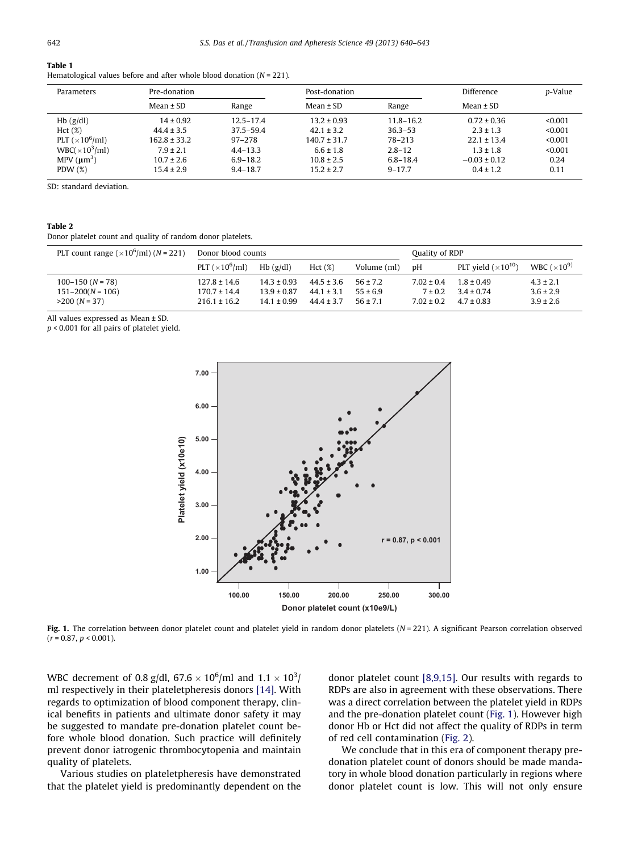#### <span id="page-2-0"></span>Table 1

Hematological values before and after whole blood donation ( $N = 221$ ).

| Parameters                          | Pre-donation     |               | Post-donation    |               | Difference       | p-Value |
|-------------------------------------|------------------|---------------|------------------|---------------|------------------|---------|
|                                     | $Mean \pm SD$    | Range         | Mean $\pm$ SD    | Range         | Mean $\pm$ SD    |         |
| $Hb$ (g/dl)                         | $14 \pm 0.92$    | $12.5 - 17.4$ | $13.2 \pm 0.93$  | $11.8 - 16.2$ | $0.72 \pm 0.36$  | < 0.001 |
| Hct(%)                              | $44.4 \pm 3.5$   | $37.5 - 59.4$ | $42.1 \pm 3.2$   | $36.3 - 53$   | $2.3 \pm 1.3$    | < 0.001 |
| PLT ( $\times$ 10 <sup>6</sup> /ml) | $162.8 \pm 33.2$ | $97 - 278$    | $140.7 \pm 31.7$ | 78-213        | $22.1 \pm 13.4$  | < 0.001 |
| WBC( $\times$ 10 <sup>3</sup> /ml)  | $7.9 \pm 2.1$    | $4.4 - 13.3$  | $6.6 \pm 1.8$    | $2.8 - 12$    | $1.3 \pm 1.8$    | < 0.001 |
| MPV $(\mu m^3)$                     | $10.7 \pm 2.6$   | $6.9 - 18.2$  | $10.8 \pm 2.5$   | $6.8 - 18.4$  | $-0.03 \pm 0.12$ | 0.24    |
| PDW $(\%)$                          | $15.4 \pm 2.9$   | $9.4 - 18.7$  | $15.2 \pm 2.7$   | $9 - 17.7$    | $0.4 \pm 1.2$    | 0.11    |

SD: standard deviation.

#### Table 2

Donor platelet count and quality of random donor platelets.

| PLT count range ( $\times$ 10 <sup>6</sup> /ml) (N = 221) | Donor blood counts                   |                                    |                                  |                              | Quality of RDP                |                                  |                                |
|-----------------------------------------------------------|--------------------------------------|------------------------------------|----------------------------------|------------------------------|-------------------------------|----------------------------------|--------------------------------|
|                                                           | PLT ( $\times$ 10 <sup>6</sup> /ml)  | $Hb$ (g/dl)                        | Hct(%)                           | Volume (ml)                  | рH                            | PLT yield $(\times 10^{10})$     | WBC $(\times 10^{9})$          |
| $100-150$ (N = 78)<br>$151 - 200(N = 106)$                | $127.8 \pm 14.6$<br>$170.7 \pm 14.4$ | $14.3 \pm 0.93$<br>$13.9 \pm 0.87$ | $44.5 \pm 3.6$<br>$44.1 \pm 3.1$ | $56 \pm 7.2$<br>$55 \pm 6.9$ | $7.02 \pm 0.4$<br>$7 \pm 0.2$ | $1.8 \pm 0.49$<br>$3.4 \pm 0.74$ | $4.3 \pm 2.1$<br>$3.6 \pm 2.9$ |
| $>200 (N = 37)$                                           | $216.1 \pm 16.2$                     | $14.1 \pm 0.99$                    | $44.4 \pm 3.7$                   | $56 \pm 7.1$                 | $7.02 \pm 0.2$                | $4.7 \pm 0.83$                   | $3.9 \pm 2.6$                  |

All values expressed as Mean ± SD.

p < 0.001 for all pairs of platelet yield.



Fig. 1. The correlation between donor platelet count and platelet yield in random donor platelets ( $N = 221$ ). A significant Pearson correlation observed  $(r = 0.87, p < 0.001)$ .

WBC decrement of 0.8 g/dl, 67.6  $\times$  10<sup>6</sup>/ml and 1.1  $\times$  10<sup>3</sup>/ ml respectively in their plateletpheresis donors [\[14\].](#page-3-0) With regards to optimization of blood component therapy, clinical benefits in patients and ultimate donor safety it may be suggested to mandate pre-donation platelet count before whole blood donation. Such practice will definitely prevent donor iatrogenic thrombocytopenia and maintain quality of platelets.

Various studies on plateletpheresis have demonstrated that the platelet yield is predominantly dependent on the

donor platelet count [\[8,9,15\].](#page-3-0) Our results with regards to RDPs are also in agreement with these observations. There was a direct correlation between the platelet yield in RDPs and the pre-donation platelet count (Fig. 1). However high donor Hb or Hct did not affect the quality of RDPs in term of red cell contamination ([Fig. 2](#page-3-0)).

We conclude that in this era of component therapy predonation platelet count of donors should be made mandatory in whole blood donation particularly in regions where donor platelet count is low. This will not only ensure